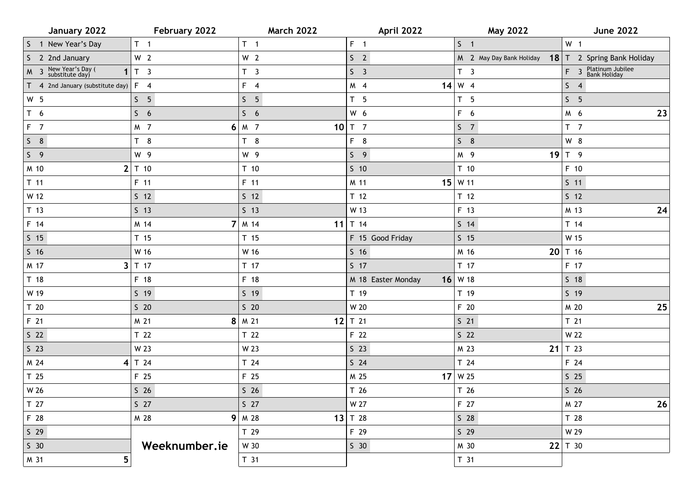| January 2022                                            | February 2022   | <b>March 2022</b> | April 2022         | <b>May 2022</b>          | <b>June 2022</b>                     |
|---------------------------------------------------------|-----------------|-------------------|--------------------|--------------------------|--------------------------------------|
| S 1 New Year's Day                                      | T <sub>1</sub>  | $T \quad 1$       | $F = 1$            | S <sub>1</sub>           | W <sub>1</sub>                       |
| S 2 2nd January                                         | W <sub>2</sub>  | W <sub>2</sub>    | S <sub>2</sub>     | M 2 May Day Bank Holiday | 18 $T$ 2 Spring Bank Holiday         |
| M 3 New Year's Day (<br>substitute day)<br>$\mathbf{1}$ | T <sub>3</sub>  | T <sub>3</sub>    | S <sub>3</sub>     | T <sub>3</sub>           | F 3 Platinum Jubilee<br>Bank Holiday |
| T 4 2nd January (substitute day)                        | $F \quad 4$     | $F \quad 4$       | M 4                | $14 \mid W$ 4            | 54                                   |
| W <sub>5</sub>                                          | S <sub>5</sub>  | S <sub>5</sub>    | T <sub>5</sub>     | T <sub>5</sub>           | S <sub>5</sub>                       |
| T <sub>6</sub>                                          | S <sub>6</sub>  | S <sub>6</sub>    | W 6                | F 6                      | 23<br>M 6                            |
| $F$ 7                                                   | M 7             | $6 M$ 7           | $10$ T 7           | S <sub>7</sub>           | T <sub>7</sub>                       |
| $S$ 8                                                   | T <sub>8</sub>  | T <sub>8</sub>    | F 8                | $S$ 8                    | W 8                                  |
| S <sub>9</sub>                                          | W 9             | W 9               | S <sub>9</sub>     | M 9<br>19                | T 9                                  |
| M 10<br>2                                               | T 10            | T <sub>10</sub>   | $S$ 10             | T 10                     | F 10                                 |
| $T$ 11                                                  | F 11            | F 11              | M 11               | $15$ W 11                | $S$ 11                               |
| W 12                                                    | $S$ 12          | $S$ 12            | T <sub>12</sub>    | T <sub>12</sub>          | $S$ 12                               |
| T <sub>13</sub>                                         | $S$ 13          | $S$ 13            | W 13               | F 13                     | 24<br>M 13                           |
| F 14                                                    | M 14            | $7$ M 14<br>11    | T 14               | $S$ 14                   | T 14                                 |
| $S$ 15                                                  | T <sub>15</sub> | T <sub>15</sub>   | F 15 Good Friday   | $S$ 15                   | W 15                                 |
| $S$ 16                                                  | W 16            | W 16              | S <sub>16</sub>    | M 16<br>20               | T 16                                 |
| M 17                                                    | $3$ T 17        | T 17              | $S$ 17             | T 17                     | F 17                                 |
| T <sub>18</sub>                                         | F 18            | F 18              | M 18 Easter Monday | $16$ W 18                | 5 <sub>18</sub>                      |
| W 19                                                    | $S$ 19          | $S$ 19            | T 19               | T 19                     | $S$ 19                               |
| T <sub>20</sub>                                         | $S$ 20          | $S$ 20            | W 20               | F 20                     | $25\,$<br>M 20                       |
| F 21                                                    | M 21            | $8$   M 21        | 12 $T$ 21          | $S$ 21                   | T <sub>21</sub>                      |
| S <sub>22</sub>                                         | T 22            | T <sub>22</sub>   | F 22               | S <sub>22</sub>          | W 22                                 |
| $S$ 23                                                  | W 23            | W 23              | $S$ 23             | M 23<br>21               | T 23                                 |
| M 24<br>$\vert 4 \vert$                                 | T 24            | T 24              | $S$ 24             | T 24                     | F 24                                 |
| T <sub>25</sub>                                         | F 25            | F 25              | M 25               | $17$ W 25                | $S$ 25                               |
| W 26                                                    | S <sub>26</sub> | S <sub>26</sub>   | T 26               | T 26                     | S <sub>26</sub>                      |
| T 27                                                    | $S$ 27          | $S$ 27            | W 27               | F 27                     | M 27<br>26                           |
| F 28                                                    | M 28            | $9$ M 28          | 13 $T$ 28          | $S$ 28                   | T 28                                 |
| $S$ 29                                                  |                 | T 29              | F 29               | $S$ 29                   | W 29                                 |
| $S$ 30                                                  | Weeknumber.ie   | W 30              | S <sub>30</sub>    | M 30                     | $22$ T 30                            |
| 5<br>M 31                                               |                 | T <sub>31</sub>   |                    | T 31                     |                                      |